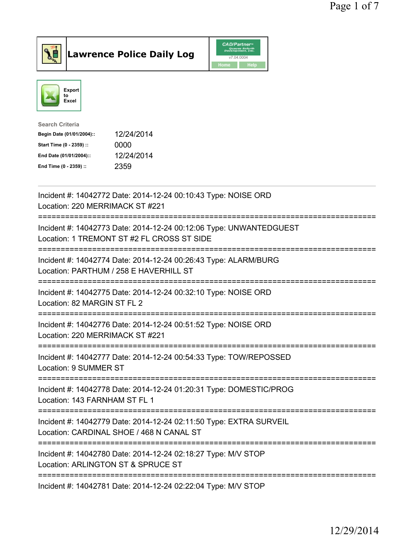



| 12/24/2014 |
|------------|
| 0000       |
| 12/24/2014 |
| 2359       |
|            |

| Incident #: 14042772 Date: 2014-12-24 00:10:43 Type: NOISE ORD<br>Location: 220 MERRIMACK ST #221                                          |
|--------------------------------------------------------------------------------------------------------------------------------------------|
| Incident #: 14042773 Date: 2014-12-24 00:12:06 Type: UNWANTEDGUEST<br>Location: 1 TREMONT ST #2 FL CROSS ST SIDE                           |
| Incident #: 14042774 Date: 2014-12-24 00:26:43 Type: ALARM/BURG<br>Location: PARTHUM / 258 E HAVERHILL ST<br>==========================    |
| Incident #: 14042775 Date: 2014-12-24 00:32:10 Type: NOISE ORD<br>Location: 82 MARGIN ST FL 2<br>;======================                   |
| Incident #: 14042776 Date: 2014-12-24 00:51:52 Type: NOISE ORD<br>Location: 220 MERRIMACK ST #221                                          |
| Incident #: 14042777 Date: 2014-12-24 00:54:33 Type: TOW/REPOSSED<br>Location: 9 SUMMER ST                                                 |
| Incident #: 14042778 Date: 2014-12-24 01:20:31 Type: DOMESTIC/PROG<br>Location: 143 FARNHAM ST FL 1                                        |
| Incident #: 14042779 Date: 2014-12-24 02:11:50 Type: EXTRA SURVEIL<br>Location: CARDINAL SHOE / 468 N CANAL ST                             |
| ===================================<br>Incident #: 14042780 Date: 2014-12-24 02:18:27 Type: M/V STOP<br>Location: ARLINGTON ST & SPRUCE ST |
| Incident #: 14042781 Date: 2014-12-24 02:22:04 Type: M/V STOP                                                                              |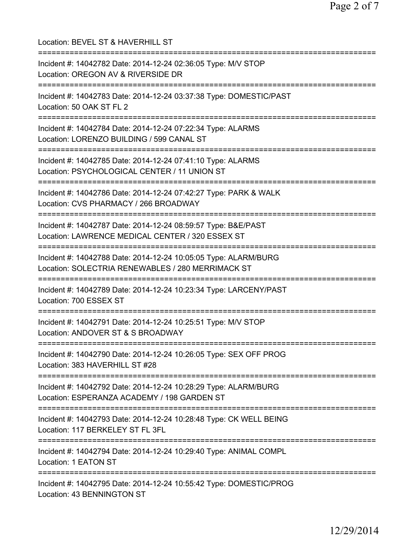| Location: BEVEL ST & HAVERHILL ST<br>===========================                                                                                     |
|------------------------------------------------------------------------------------------------------------------------------------------------------|
| Incident #: 14042782 Date: 2014-12-24 02:36:05 Type: M/V STOP<br>Location: OREGON AV & RIVERSIDE DR                                                  |
| Incident #: 14042783 Date: 2014-12-24 03:37:38 Type: DOMESTIC/PAST<br>Location: 50 OAK ST FL 2                                                       |
| Incident #: 14042784 Date: 2014-12-24 07:22:34 Type: ALARMS<br>Location: LORENZO BUILDING / 599 CANAL ST<br>============================             |
| Incident #: 14042785 Date: 2014-12-24 07:41:10 Type: ALARMS<br>Location: PSYCHOLOGICAL CENTER / 11 UNION ST                                          |
| Incident #: 14042786 Date: 2014-12-24 07:42:27 Type: PARK & WALK<br>Location: CVS PHARMACY / 266 BROADWAY                                            |
| Incident #: 14042787 Date: 2014-12-24 08:59:57 Type: B&E/PAST<br>Location: LAWRENCE MEDICAL CENTER / 320 ESSEX ST                                    |
| Incident #: 14042788 Date: 2014-12-24 10:05:05 Type: ALARM/BURG<br>Location: SOLECTRIA RENEWABLES / 280 MERRIMACK ST<br>============================ |
| Incident #: 14042789 Date: 2014-12-24 10:23:34 Type: LARCENY/PAST<br>Location: 700 ESSEX ST                                                          |
| Incident #: 14042791 Date: 2014-12-24 10:25:51 Type: M/V STOP<br>Location: ANDOVER ST & S BROADWAY                                                   |
| ==================================<br>Incident #: 14042790 Date: 2014-12-24 10:26:05 Type: SEX OFF PROG<br>Location: 383 HAVERHILL ST #28            |
| Incident #: 14042792 Date: 2014-12-24 10:28:29 Type: ALARM/BURG<br>Location: ESPERANZA ACADEMY / 198 GARDEN ST                                       |
| Incident #: 14042793 Date: 2014-12-24 10:28:48 Type: CK WELL BEING<br>Location: 117 BERKELEY ST FL 3FL                                               |
| Incident #: 14042794 Date: 2014-12-24 10:29:40 Type: ANIMAL COMPL<br>Location: 1 EATON ST                                                            |
| Incident #: 14042795 Date: 2014-12-24 10:55:42 Type: DOMESTIC/PROG<br>Location: 43 BENNINGTON ST                                                     |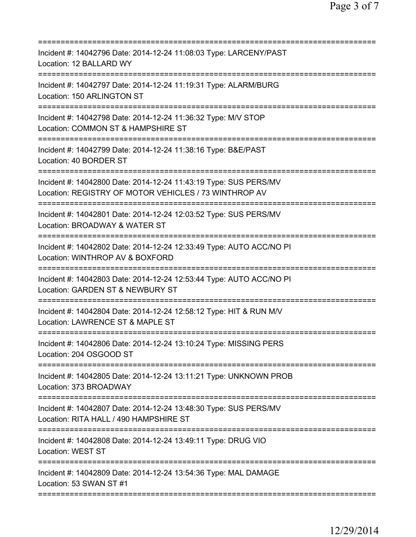| Incident #: 14042796 Date: 2014-12-24 11:08:03 Type: LARCENY/PAST<br>Location: 12 BALLARD WY                                        |
|-------------------------------------------------------------------------------------------------------------------------------------|
| Incident #: 14042797 Date: 2014-12-24 11:19:31 Type: ALARM/BURG<br>Location: 150 ARLINGTON ST                                       |
| Incident #: 14042798 Date: 2014-12-24 11:36:32 Type: M/V STOP<br>Location: COMMON ST & HAMPSHIRE ST                                 |
| Incident #: 14042799 Date: 2014-12-24 11:38:16 Type: B&E/PAST<br>Location: 40 BORDER ST                                             |
| Incident #: 14042800 Date: 2014-12-24 11:43:19 Type: SUS PERS/MV<br>Location: REGISTRY OF MOTOR VEHICLES / 73 WINTHROP AV           |
| ==============================<br>Incident #: 14042801 Date: 2014-12-24 12:03:52 Type: SUS PERS/MV<br>Location: BROADWAY & WATER ST |
| Incident #: 14042802 Date: 2014-12-24 12:33:49 Type: AUTO ACC/NO PI<br>Location: WINTHROP AV & BOXFORD                              |
| Incident #: 14042803 Date: 2014-12-24 12:53:44 Type: AUTO ACC/NO PI<br>Location: GARDEN ST & NEWBURY ST                             |
| Incident #: 14042804 Date: 2014-12-24 12:58:12 Type: HIT & RUN M/V<br>Location: LAWRENCE ST & MAPLE ST                              |
| Incident #: 14042806 Date: 2014-12-24 13:10:24 Type: MISSING PERS<br>Location: 204 OSGOOD ST                                        |
| Incident #: 14042805 Date: 2014-12-24 13:11:21 Type: UNKNOWN PROB<br>Location: 373 BROADWAY                                         |
| Incident #: 14042807 Date: 2014-12-24 13:48:30 Type: SUS PERS/MV<br>Location: RITA HALL / 490 HAMPSHIRE ST                          |
| ==========================<br>Incident #: 14042808 Date: 2014-12-24 13:49:11 Type: DRUG VIO<br><b>Location: WEST ST</b>             |
| Incident #: 14042809 Date: 2014-12-24 13:54:36 Type: MAL DAMAGE<br>Location: 53 SWAN ST #1                                          |
|                                                                                                                                     |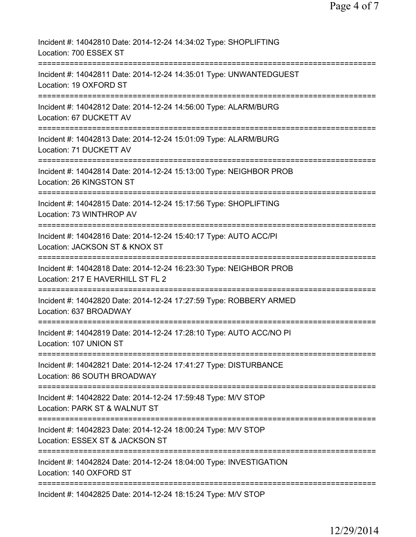| Incident #: 14042810 Date: 2014-12-24 14:34:02 Type: SHOPLIFTING<br>Location: 700 ESSEX ST                                  |
|-----------------------------------------------------------------------------------------------------------------------------|
| Incident #: 14042811 Date: 2014-12-24 14:35:01 Type: UNWANTEDGUEST<br>Location: 19 OXFORD ST                                |
| Incident #: 14042812 Date: 2014-12-24 14:56:00 Type: ALARM/BURG<br>Location: 67 DUCKETT AV                                  |
| Incident #: 14042813 Date: 2014-12-24 15:01:09 Type: ALARM/BURG<br>Location: 71 DUCKETT AV                                  |
| Incident #: 14042814 Date: 2014-12-24 15:13:00 Type: NEIGHBOR PROB<br>Location: 26 KINGSTON ST                              |
| Incident #: 14042815 Date: 2014-12-24 15:17:56 Type: SHOPLIFTING<br>Location: 73 WINTHROP AV                                |
| Incident #: 14042816 Date: 2014-12-24 15:40:17 Type: AUTO ACC/PI<br>Location: JACKSON ST & KNOX ST                          |
| Incident #: 14042818 Date: 2014-12-24 16:23:30 Type: NEIGHBOR PROB<br>Location: 217 E HAVERHILL ST FL 2                     |
| Incident #: 14042820 Date: 2014-12-24 17:27:59 Type: ROBBERY ARMED<br>Location: 637 BROADWAY                                |
| Incident #: 14042819 Date: 2014-12-24 17:28:10 Type: AUTO ACC/NO PI<br>Location: 107 UNION ST                               |
| Incident #: 14042821 Date: 2014-12-24 17:41:27 Type: DISTURBANCE<br>Location: 86 SOUTH BROADWAY                             |
| Incident #: 14042822 Date: 2014-12-24 17:59:48 Type: M/V STOP<br>Location: PARK ST & WALNUT ST                              |
| Incident #: 14042823 Date: 2014-12-24 18:00:24 Type: M/V STOP<br>Location: ESSEX ST & JACKSON ST                            |
| ==========================<br>Incident #: 14042824 Date: 2014-12-24 18:04:00 Type: INVESTIGATION<br>Location: 140 OXFORD ST |
| Incident #: 14042825 Date: 2014-12-24 18:15:24 Type: M/V STOP                                                               |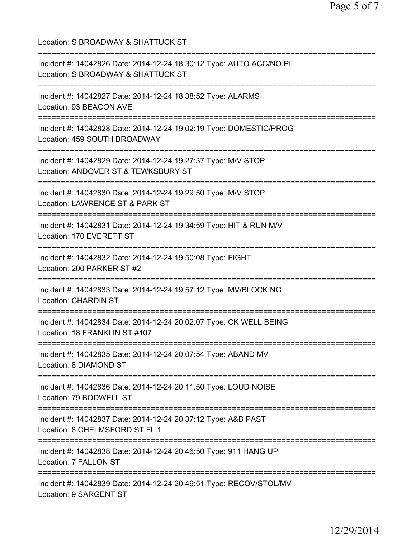Location: S BROADWAY & SHATTUCK ST =========================================================================== Incident #: 14042826 Date: 2014-12-24 18:30:12 Type: AUTO ACC/NO PI Location: S BROADWAY & SHATTUCK ST =========================================================================== Incident #: 14042827 Date: 2014-12-24 18:38:52 Type: ALARMS Location: 93 BEACON AVE =========================================================================== Incident #: 14042828 Date: 2014-12-24 19:02:19 Type: DOMESTIC/PROG Location: 459 SOUTH BROADWAY =========================================================================== Incident #: 14042829 Date: 2014-12-24 19:27:37 Type: M/V STOP Location: ANDOVER ST & TEWKSBURY ST =========================================================================== Incident #: 14042830 Date: 2014-12-24 19:29:50 Type: M/V STOP Location: LAWRENCE ST & PARK ST =========================================================================== Incident #: 14042831 Date: 2014-12-24 19:34:59 Type: HIT & RUN M/V Location: 170 EVERETT ST =========================================================================== Incident #: 14042832 Date: 2014-12-24 19:50:08 Type: FIGHT Location: 200 PARKER ST #2 =========================================================================== Incident #: 14042833 Date: 2014-12-24 19:57:12 Type: MV/BLOCKING Location: CHARDIN ST =========================================================================== Incident #: 14042834 Date: 2014-12-24 20:02:07 Type: CK WELL BEING Location: 18 FRANKLIN ST #107 =========================================================================== Incident #: 14042835 Date: 2014-12-24 20:07:54 Type: ABAND MV Location: 8 DIAMOND ST =========================================================================== Incident #: 14042836 Date: 2014-12-24 20:11:50 Type: LOUD NOISE Location: 79 BODWELL ST =========================================================================== Incident #: 14042837 Date: 2014-12-24 20:37:12 Type: A&B PAST Location: 8 CHELMSFORD ST FL 1 =========================================================================== Incident #: 14042838 Date: 2014-12-24 20:46:50 Type: 911 HANG UP Location: 7 FALLON ST =========================================================================== Incident #: 14042839 Date: 2014-12-24 20:49:51 Type: RECOV/STOL/MV Location: 9 SARGENT ST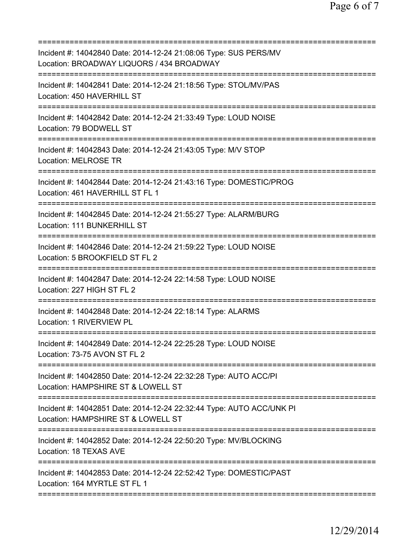| Incident #: 14042840 Date: 2014-12-24 21:08:06 Type: SUS PERS/MV<br>Location: BROADWAY LIQUORS / 434 BROADWAY                             |
|-------------------------------------------------------------------------------------------------------------------------------------------|
| Incident #: 14042841 Date: 2014-12-24 21:18:56 Type: STOL/MV/PAS<br>Location: 450 HAVERHILL ST                                            |
| Incident #: 14042842 Date: 2014-12-24 21:33:49 Type: LOUD NOISE<br>Location: 79 BODWELL ST                                                |
| Incident #: 14042843 Date: 2014-12-24 21:43:05 Type: M/V STOP<br>Location: MELROSE TR                                                     |
| ================================<br>Incident #: 14042844 Date: 2014-12-24 21:43:16 Type: DOMESTIC/PROG<br>Location: 461 HAVERHILL ST FL 1 |
| Incident #: 14042845 Date: 2014-12-24 21:55:27 Type: ALARM/BURG<br>Location: 111 BUNKERHILL ST                                            |
| Incident #: 14042846 Date: 2014-12-24 21:59:22 Type: LOUD NOISE<br>Location: 5 BROOKFIELD ST FL 2                                         |
| Incident #: 14042847 Date: 2014-12-24 22:14:58 Type: LOUD NOISE<br>Location: 227 HIGH ST FL 2                                             |
| Incident #: 14042848 Date: 2014-12-24 22:18:14 Type: ALARMS<br>Location: 1 RIVERVIEW PL                                                   |
| Incident #: 14042849 Date: 2014-12-24 22:25:28 Type: LOUD NOISE<br>Location: 73-75 AVON ST FL 2                                           |
| Incident #: 14042850 Date: 2014-12-24 22:32:28 Type: AUTO ACC/PI<br>Location: HAMPSHIRE ST & LOWELL ST                                    |
| Incident #: 14042851 Date: 2014-12-24 22:32:44 Type: AUTO ACC/UNK PI<br>Location: HAMPSHIRE ST & LOWELL ST                                |
| Incident #: 14042852 Date: 2014-12-24 22:50:20 Type: MV/BLOCKING<br>Location: 18 TEXAS AVE                                                |
| Incident #: 14042853 Date: 2014-12-24 22:52:42 Type: DOMESTIC/PAST<br>Location: 164 MYRTLE ST FL 1                                        |
|                                                                                                                                           |